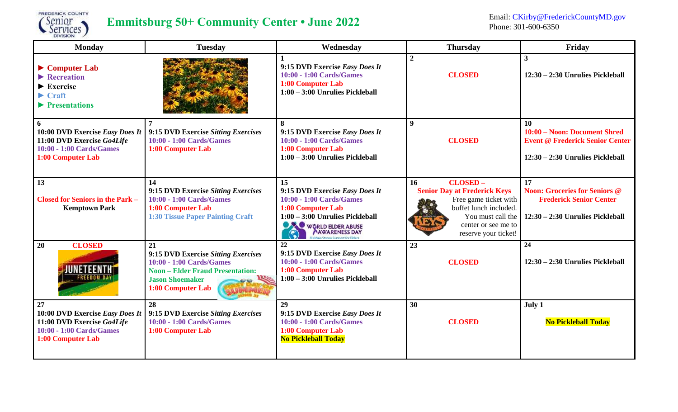

# **Emmitsburg** 50+ Community Center • June 2022<br>
Phone: 301-600-6350<br>
Phone: 301-600-6350

Phone: 301-600-6350

| <b>Monday</b>                                                                                                                                                             | <b>Tuesday</b>                                                                                                                                                  | Wednesday                                                                                                                                                                                                                                      | <b>Thursday</b>                                                                                                                                                             | Friday                                                                                                                        |
|---------------------------------------------------------------------------------------------------------------------------------------------------------------------------|-----------------------------------------------------------------------------------------------------------------------------------------------------------------|------------------------------------------------------------------------------------------------------------------------------------------------------------------------------------------------------------------------------------------------|-----------------------------------------------------------------------------------------------------------------------------------------------------------------------------|-------------------------------------------------------------------------------------------------------------------------------|
| $\triangleright$ Computer Lab<br>$\blacktriangleright$ Recreation<br>$\blacktriangleright$ Exercise<br>$\blacktriangleright$ Craft<br>$\blacktriangleright$ Presentations |                                                                                                                                                                 | 9:15 DVD Exercise Easy Does It<br>10:00 - 1:00 Cards/Games<br>1:00 Computer Lab<br>$1:00 - 3:00$ Unrulies Pickleball                                                                                                                           | $\overline{2}$<br><b>CLOSED</b>                                                                                                                                             | $\mathbf{3}$<br>12:30 - 2:30 Unrulies Pickleball                                                                              |
| 6<br>10:00 DVD Exercise Easy Does It<br>11:00 DVD Exercise Go4Life<br>10:00 - 1:00 Cards/Games<br>1:00 Computer Lab                                                       | 7<br>9:15 DVD Exercise Sitting Exercises<br>10:00 - 1:00 Cards/Games<br>1:00 Computer Lab                                                                       | 8<br>9:15 DVD Exercise Easy Does It<br>10:00 - 1:00 Cards/Games<br>1:00 Computer Lab<br>$1:00 - 3:00$ Unrulies Pickleball                                                                                                                      | 9<br><b>CLOSED</b>                                                                                                                                                          | 10<br>10:00 - Noon: Document Shred<br><b>Event @ Frederick Senior Center</b><br>12:30 - 2:30 Unrulies Pickleball              |
| 13<br><b>Closed for Seniors in the Park -</b><br><b>Kemptown Park</b>                                                                                                     | 14<br>9:15 DVD Exercise Sitting Exercises<br>10:00 - 1:00 Cards/Games<br>1:00 Computer Lab<br><b>1:30 Tissue Paper Painting Craft</b>                           | 15<br>9:15 DVD Exercise Easy Does It<br>10:00 - 1:00 Cards/Games<br>1:00 Computer Lab<br>1:00 - 3:00 Unrulies Pickleball<br>WORLD ELDER ABUSE<br>$\left(\begin{smallmatrix}\bullet\end{smallmatrix}\right)$<br>ilding Strong Support for Fider | CLOSED-<br>16<br><b>Senior Day at Frederick Keys</b><br>Free game ticket with<br>buffet lunch included.<br>You must call the<br>center or see me to<br>reserve your ticket! | $\overline{17}$<br><b>Noon: Groceries for Seniors @</b><br><b>Frederick Senior Center</b><br>12:30 - 2:30 Unrulies Pickleball |
| <b>CLOSED</b><br>20<br>JUNETEENTH<br><b>FREEDOM DA</b>                                                                                                                    | 21<br>9:15 DVD Exercise Sitting Exercises<br>10:00 - 1:00 Cards/Games<br><b>Noon – Elder Fraud Presentation:</b><br><b>Jason Shoemaker</b><br>1:00 Computer Lab | 22<br>9:15 DVD Exercise Easy Does It<br>10:00 - 1:00 Cards/Games<br>1:00 Computer Lab<br>1:00 - 3:00 Unrulies Pickleball                                                                                                                       | 23<br><b>CLOSED</b>                                                                                                                                                         | 24<br>12:30 - 2:30 Unrulies Pickleball                                                                                        |
| 27<br>10:00 DVD Exercise Easy Does It<br>11:00 DVD Exercise Go4Life<br>10:00 - 1:00 Cards/Games<br>1:00 Computer Lab                                                      | 28<br>9:15 DVD Exercise Sitting Exercises<br>10:00 - 1:00 Cards/Games<br>1:00 Computer Lab                                                                      | 29<br>9:15 DVD Exercise Easy Does It<br>10:00 - 1:00 Cards/Games<br>1:00 Computer Lab<br><b>No Pickleball Today</b>                                                                                                                            | 30<br><b>CLOSED</b>                                                                                                                                                         | July 1<br><b>No Pickleball Today</b>                                                                                          |